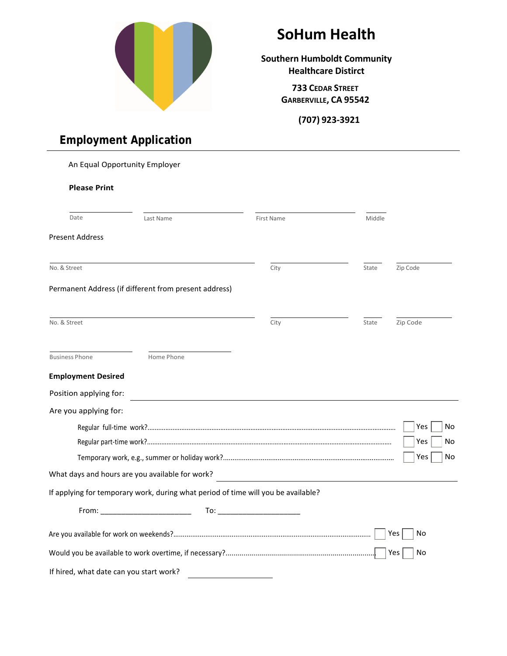

# **SoHum Health**

**Southern Humboldt Community Healthcare Distirct**

> **733 CEDAR STREET GARBERVILLE, CA 95542**

> > **(707) 923-3921**

# An Equal Opportunity Employer **Please Print** Date Present Address Last Name Middle No. & Street City State City State City State State Zip Code Permanent Address (if different from present address) No. & Street City State City State City State City State Zip Code Business Phone **Home Phone Employment Desired**  Position applying for: Are you applying for: Regular full-time work?............................................................................................................................................ Regular part-time work?.......................................................................................................................................... Temporary work, e.g., summer or holiday work?........................................................................................... What days and hours are you available for work? If applying for temporary work, during what period of time will you be available?  $Yes \mid \text{No}$  $Yes \mid \text{No}$  $Yes$  No From: \_\_\_\_\_\_\_\_\_\_\_\_\_\_\_\_\_\_\_\_\_\_ To: \_\_\_\_\_\_\_\_\_\_\_\_\_\_\_\_\_\_\_\_ Are you available for work on weekends?......................................................................................................... Yes No Would you be available to work overtime, if necessary?............................................................................ Yes No If hired, what date can you start work?

### **Employment Application**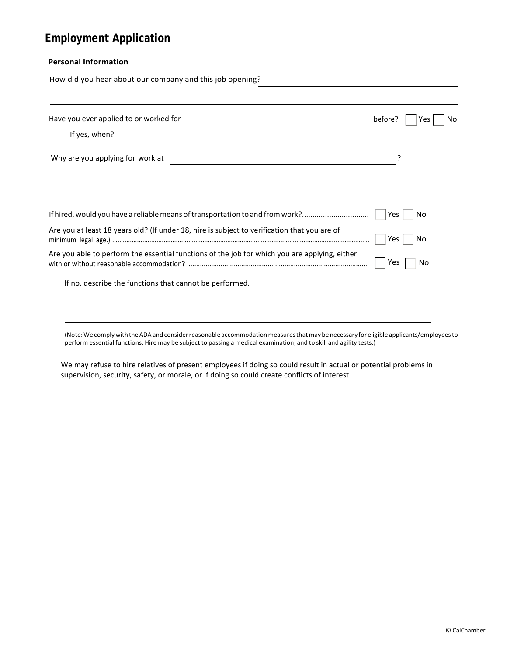How did you hear about our company and this job opening?

| Have you ever applied to or worked for                                                        | before? | Nο<br>Yes |
|-----------------------------------------------------------------------------------------------|---------|-----------|
| If yes, when?                                                                                 |         |           |
| Why are you applying for work at                                                              |         |           |
|                                                                                               |         |           |
| If hired, would you have a reliable means of transportation to and from work?                 | Yes.    | Nο        |
| Are you at least 18 years old? (If under 18, hire is subject to verification that you are of  | Yes     | No        |
| Are you able to perform the essential functions of the job for which you are applying, either | Yes     | Νo        |
| If no, describe the functions that cannot be performed.                                       |         |           |
|                                                                                               |         |           |

(Note:We complywith theADA and considerreasonable accommodationmeasuresthatmay be necessary for eligible applicants/employeesto perform essential functions. Hire may be subject to passing a medical examination, and to skill and agility tests.)

We may refuse to hire relatives of present employees if doing so could result in actual or potential problems in supervision, security, safety, or morale, or if doing so could create conflicts of interest.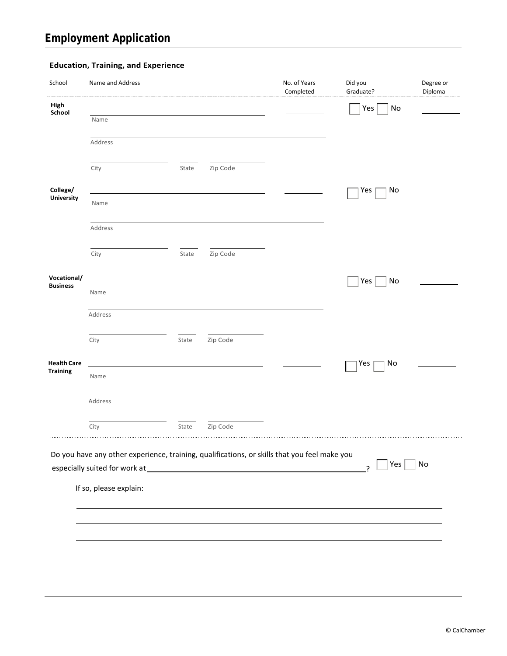#### **Education, Training, and Experience**

| School                 | Name and Address       |       |          | No. of Years<br>Completed                                                                    | Did you<br>Graduate? | Degree or<br>Diploma |
|------------------------|------------------------|-------|----------|----------------------------------------------------------------------------------------------|----------------------|----------------------|
| High<br>School         |                        |       |          |                                                                                              | No<br>Yes            |                      |
|                        | Name                   |       |          |                                                                                              |                      |                      |
|                        | Address                |       |          |                                                                                              |                      |                      |
|                        | City                   | State | Zip Code |                                                                                              |                      |                      |
| College/<br>University |                        |       |          |                                                                                              | No<br>Yes            |                      |
|                        | Name                   |       |          |                                                                                              |                      |                      |
|                        | Address                |       |          |                                                                                              |                      |                      |
|                        | City                   | State | Zip Code |                                                                                              |                      |                      |
| Vocational/            |                        |       |          |                                                                                              | Yes<br>No            |                      |
| <b>Business</b>        | Name                   |       |          |                                                                                              |                      |                      |
|                        | Address                |       |          |                                                                                              |                      |                      |
|                        | City                   | State | Zip Code |                                                                                              |                      |                      |
| <b>Health Care</b>     |                        |       |          |                                                                                              | No<br>Yes            |                      |
| <b>Training</b>        | Name                   |       |          |                                                                                              |                      |                      |
|                        | Address                |       |          |                                                                                              |                      |                      |
|                        | City                   | State | Zip Code |                                                                                              |                      |                      |
|                        |                        |       |          | Do you have any other experience, training, qualifications, or skills that you feel make you |                      |                      |
|                        |                        |       |          |                                                                                              | Yes<br>?             | No                   |
|                        | If so, please explain: |       |          |                                                                                              |                      |                      |
|                        |                        |       |          |                                                                                              |                      |                      |
|                        |                        |       |          |                                                                                              |                      |                      |
|                        |                        |       |          |                                                                                              |                      |                      |
|                        |                        |       |          |                                                                                              |                      |                      |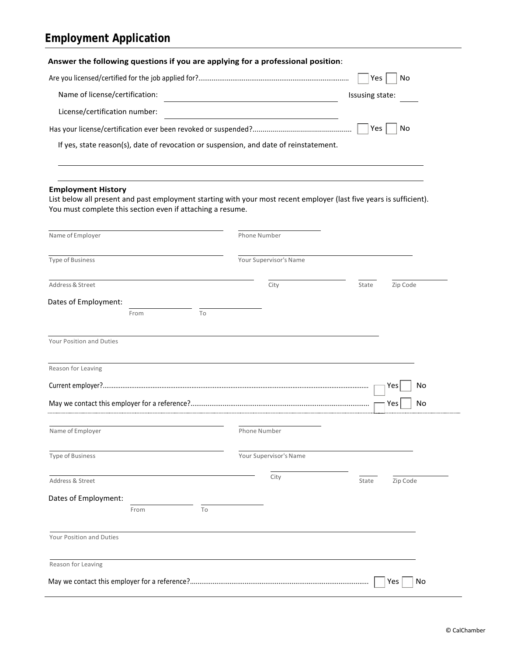|                                                                                         |                               |    | Answer the following questions if you are applying for a professional position:       |                                                                                                                     |  |  |
|-----------------------------------------------------------------------------------------|-------------------------------|----|---------------------------------------------------------------------------------------|---------------------------------------------------------------------------------------------------------------------|--|--|
|                                                                                         |                               |    |                                                                                       | Yes<br>No                                                                                                           |  |  |
| Name of license/certification:                                                          |                               |    |                                                                                       | Issusing state:                                                                                                     |  |  |
|                                                                                         | License/certification number: |    |                                                                                       |                                                                                                                     |  |  |
|                                                                                         |                               |    |                                                                                       | No<br>Yes                                                                                                           |  |  |
|                                                                                         |                               |    | If yes, state reason(s), date of revocation or suspension, and date of reinstatement. |                                                                                                                     |  |  |
|                                                                                         |                               |    |                                                                                       |                                                                                                                     |  |  |
| <b>Employment History</b><br>You must complete this section even if attaching a resume. |                               |    |                                                                                       | List below all present and past employment starting with your most recent employer (last five years is sufficient). |  |  |
| Name of Employer                                                                        |                               |    | Phone Number                                                                          |                                                                                                                     |  |  |
| <b>Type of Business</b>                                                                 |                               |    | Your Supervisor's Name                                                                |                                                                                                                     |  |  |
| Address & Street                                                                        |                               |    | City                                                                                  | Zip Code<br>State                                                                                                   |  |  |
| Dates of Employment:                                                                    |                               |    |                                                                                       |                                                                                                                     |  |  |
|                                                                                         | From                          | To |                                                                                       |                                                                                                                     |  |  |
| Your Position and Duties                                                                |                               |    |                                                                                       |                                                                                                                     |  |  |
| Reason for Leaving                                                                      |                               |    |                                                                                       |                                                                                                                     |  |  |
|                                                                                         |                               |    |                                                                                       | No<br>Yes                                                                                                           |  |  |
|                                                                                         |                               |    |                                                                                       | Yes<br>No                                                                                                           |  |  |
| Name of Employer                                                                        |                               |    | Phone Number                                                                          |                                                                                                                     |  |  |
| <b>Type of Business</b>                                                                 |                               |    | Your Supervisor's Name                                                                |                                                                                                                     |  |  |
| Address & Street                                                                        |                               |    | City                                                                                  | Zip Code<br>State                                                                                                   |  |  |
| Dates of Employment:                                                                    |                               |    |                                                                                       |                                                                                                                     |  |  |
|                                                                                         | From                          | To |                                                                                       |                                                                                                                     |  |  |
| Your Position and Duties                                                                |                               |    |                                                                                       |                                                                                                                     |  |  |
| Reason for Leaving                                                                      |                               |    |                                                                                       |                                                                                                                     |  |  |
|                                                                                         |                               |    |                                                                                       | Yes<br>No                                                                                                           |  |  |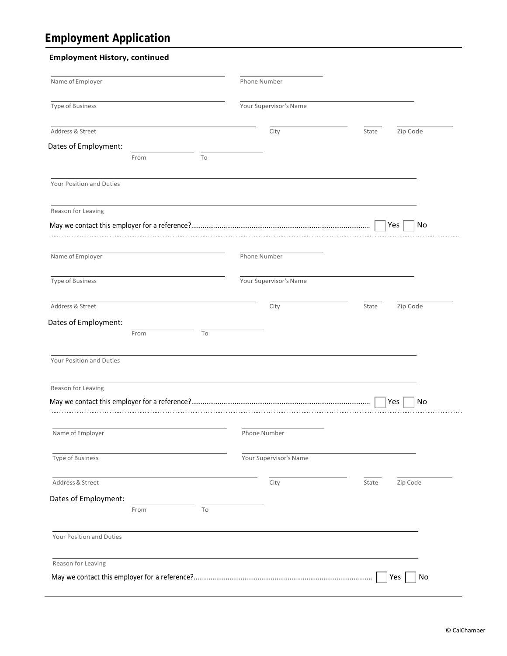#### **Employment History, continued**

| Name of Employer         |      |                          | Phone Number           |                   |
|--------------------------|------|--------------------------|------------------------|-------------------|
| Type of Business         |      |                          | Your Supervisor's Name |                   |
| Address & Street         |      |                          | City                   | Zip Code<br>State |
| Dates of Employment:     |      |                          |                        |                   |
|                          | From | To                       |                        |                   |
| Your Position and Duties |      |                          |                        |                   |
| Reason for Leaving       |      |                          |                        |                   |
|                          |      |                          |                        | Yes<br>No         |
| Name of Employer         |      |                          | Phone Number           |                   |
| Type of Business         |      |                          | Your Supervisor's Name |                   |
| Address & Street         |      |                          | City                   | Zip Code<br>State |
| Dates of Employment:     |      |                          |                        |                   |
|                          | From | To                       |                        |                   |
| Your Position and Duties |      |                          |                        |                   |
| Reason for Leaving       |      |                          |                        |                   |
|                          |      |                          |                        | Yes<br>No         |
| Name of Employer         |      |                          | Phone Number           |                   |
| <b>Type of Business</b>  |      |                          | Your Supervisor's Name |                   |
| Address & Street         |      |                          | City                   | Zip Code<br>State |
| Dates of Employment:     |      |                          |                        |                   |
|                          | From | $\overline{\mathrm{To}}$ |                        |                   |
| Your Position and Duties |      |                          |                        |                   |
| Reason for Leaving       |      |                          |                        |                   |
|                          |      |                          |                        |                   |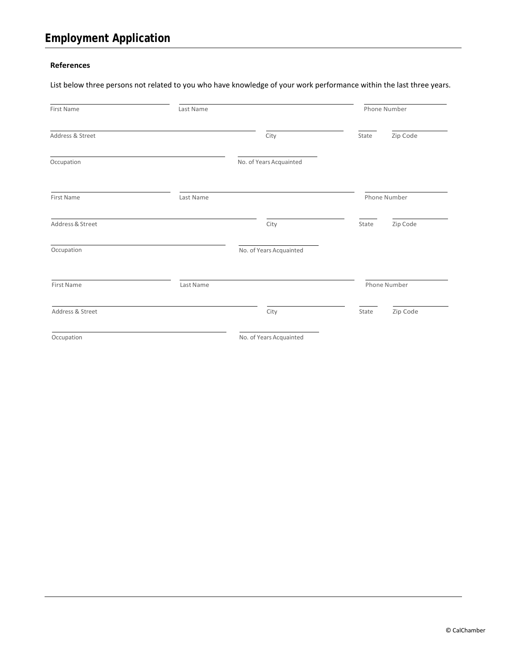#### **References**

List below three persons not related to you who have knowledge of your work performance within the last three years.

| <b>First Name</b> | Last Name |                         |              |          |  |
|-------------------|-----------|-------------------------|--------------|----------|--|
| Address & Street  |           | City                    | State        | Zip Code |  |
| Occupation        |           | No. of Years Acquainted |              |          |  |
| First Name        | Last Name |                         | Phone Number |          |  |
| Address & Street  |           | City                    | State        | Zip Code |  |
| Occupation        |           | No. of Years Acquainted |              |          |  |
| First Name        | Last Name |                         | Phone Number |          |  |
| Address & Street  |           | City                    | State        | Zip Code |  |
| Occupation        |           | No. of Years Acquainted |              |          |  |